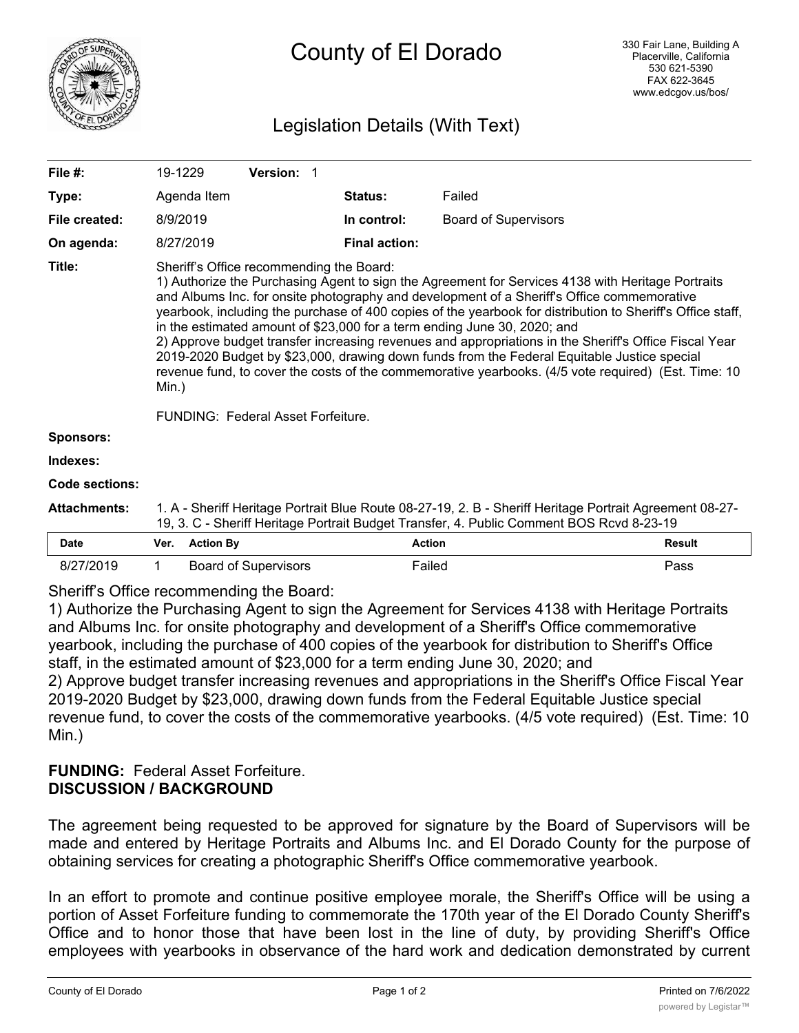

# County of El Dorado

## Legislation Details (With Text)

| File #:             | 19-1229                                                                                                                                                                                                                                                                                                                                                                                                                                                                                                                                                                                                                                                                                                                                                                                                    |                  |                             | <b>Version: 1</b> |  |                      |                             |               |
|---------------------|------------------------------------------------------------------------------------------------------------------------------------------------------------------------------------------------------------------------------------------------------------------------------------------------------------------------------------------------------------------------------------------------------------------------------------------------------------------------------------------------------------------------------------------------------------------------------------------------------------------------------------------------------------------------------------------------------------------------------------------------------------------------------------------------------------|------------------|-----------------------------|-------------------|--|----------------------|-----------------------------|---------------|
| Type:               |                                                                                                                                                                                                                                                                                                                                                                                                                                                                                                                                                                                                                                                                                                                                                                                                            | Agenda Item      |                             |                   |  | Status:              | Failed                      |               |
| File created:       | 8/9/2019                                                                                                                                                                                                                                                                                                                                                                                                                                                                                                                                                                                                                                                                                                                                                                                                   |                  |                             |                   |  | In control:          | <b>Board of Supervisors</b> |               |
| On agenda:          |                                                                                                                                                                                                                                                                                                                                                                                                                                                                                                                                                                                                                                                                                                                                                                                                            | 8/27/2019        |                             |                   |  | <b>Final action:</b> |                             |               |
| Title:              | Sheriff's Office recommending the Board:<br>1) Authorize the Purchasing Agent to sign the Agreement for Services 4138 with Heritage Portraits<br>and Albums Inc. for onsite photography and development of a Sheriff's Office commemorative<br>yearbook, including the purchase of 400 copies of the yearbook for distribution to Sheriff's Office staff,<br>in the estimated amount of \$23,000 for a term ending June 30, 2020; and<br>2) Approve budget transfer increasing revenues and appropriations in the Sheriff's Office Fiscal Year<br>2019-2020 Budget by \$23,000, drawing down funds from the Federal Equitable Justice special<br>revenue fund, to cover the costs of the commemorative yearbooks. (4/5 vote required) (Est. Time: 10<br>Min.)<br><b>FUNDING: Federal Asset Forfeiture.</b> |                  |                             |                   |  |                      |                             |               |
|                     |                                                                                                                                                                                                                                                                                                                                                                                                                                                                                                                                                                                                                                                                                                                                                                                                            |                  |                             |                   |  |                      |                             |               |
| <b>Sponsors:</b>    |                                                                                                                                                                                                                                                                                                                                                                                                                                                                                                                                                                                                                                                                                                                                                                                                            |                  |                             |                   |  |                      |                             |               |
| Indexes:            |                                                                                                                                                                                                                                                                                                                                                                                                                                                                                                                                                                                                                                                                                                                                                                                                            |                  |                             |                   |  |                      |                             |               |
| Code sections:      |                                                                                                                                                                                                                                                                                                                                                                                                                                                                                                                                                                                                                                                                                                                                                                                                            |                  |                             |                   |  |                      |                             |               |
| <b>Attachments:</b> | 1. A - Sheriff Heritage Portrait Blue Route 08-27-19, 2. B - Sheriff Heritage Portrait Agreement 08-27-<br>19, 3. C - Sheriff Heritage Portrait Budget Transfer, 4. Public Comment BOS Rcvd 8-23-19                                                                                                                                                                                                                                                                                                                                                                                                                                                                                                                                                                                                        |                  |                             |                   |  |                      |                             |               |
| <b>Date</b>         | Ver.                                                                                                                                                                                                                                                                                                                                                                                                                                                                                                                                                                                                                                                                                                                                                                                                       | <b>Action By</b> |                             |                   |  | <b>Action</b>        |                             | <b>Result</b> |
| 8/27/2019           | 1                                                                                                                                                                                                                                                                                                                                                                                                                                                                                                                                                                                                                                                                                                                                                                                                          |                  | <b>Board of Supervisors</b> |                   |  | Failed               |                             | Pass          |

Sheriff's Office recommending the Board:

1) Authorize the Purchasing Agent to sign the Agreement for Services 4138 with Heritage Portraits and Albums Inc. for onsite photography and development of a Sheriff's Office commemorative yearbook, including the purchase of 400 copies of the yearbook for distribution to Sheriff's Office staff, in the estimated amount of \$23,000 for a term ending June 30, 2020; and 2) Approve budget transfer increasing revenues and appropriations in the Sheriff's Office Fiscal Year 2019-2020 Budget by \$23,000, drawing down funds from the Federal Equitable Justice special revenue fund, to cover the costs of the commemorative yearbooks. (4/5 vote required) (Est. Time: 10 Min.)

### **FUNDING:** Federal Asset Forfeiture. **DISCUSSION / BACKGROUND**

The agreement being requested to be approved for signature by the Board of Supervisors will be made and entered by Heritage Portraits and Albums Inc. and El Dorado County for the purpose of obtaining services for creating a photographic Sheriff's Office commemorative yearbook.

In an effort to promote and continue positive employee morale, the Sheriff's Office will be using a portion of Asset Forfeiture funding to commemorate the 170th year of the El Dorado County Sheriff's Office and to honor those that have been lost in the line of duty, by providing Sheriff's Office employees with yearbooks in observance of the hard work and dedication demonstrated by current